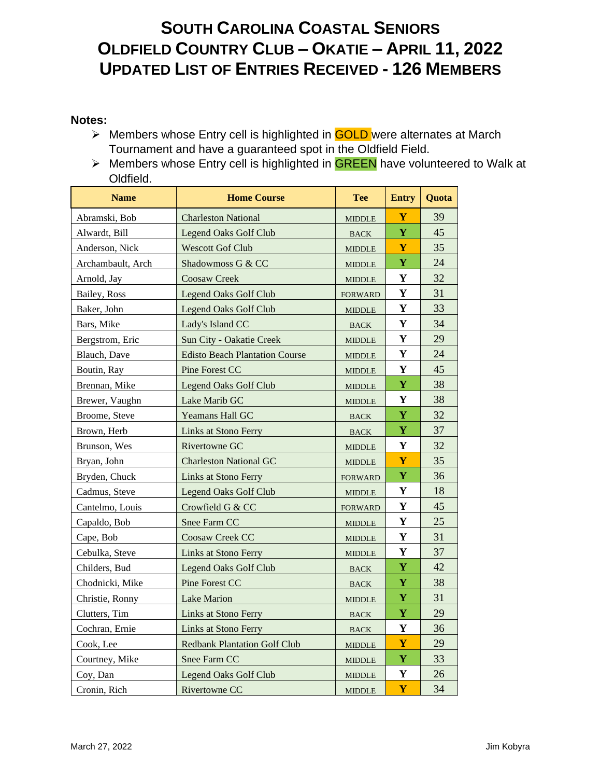#### **Notes:**

- ➢ Members whose Entry cell is highlighted in GOLD were alternates at March Tournament and have a guaranteed spot in the Oldfield Field.
- ➢ Members whose Entry cell is highlighted in GREEN have volunteered to Walk at Oldfield.

| <b>Name</b>       | <b>Home Course</b>                    | <b>Tee</b>     | <b>Entry</b> | Quota |
|-------------------|---------------------------------------|----------------|--------------|-------|
| Abramski, Bob     | <b>Charleston National</b>            | <b>MIDDLE</b>  | Y            | 39    |
| Alwardt, Bill     | <b>Legend Oaks Golf Club</b>          | <b>BACK</b>    | Y            | 45    |
| Anderson, Nick    | <b>Wescott Gof Club</b>               | <b>MIDDLE</b>  | Y            | 35    |
| Archambault, Arch | Shadowmoss G & CC                     | <b>MIDDLE</b>  | $\mathbf Y$  | 24    |
| Arnold, Jay       | <b>Coosaw Creek</b>                   | <b>MIDDLE</b>  | Y            | 32    |
| Bailey, Ross      | <b>Legend Oaks Golf Club</b>          | <b>FORWARD</b> | Y            | 31    |
| Baker, John       | Legend Oaks Golf Club                 | <b>MIDDLE</b>  | Y            | 33    |
| Bars, Mike        | Lady's Island CC                      | <b>BACK</b>    | Y            | 34    |
| Bergstrom, Eric   | Sun City - Oakatie Creek              | <b>MIDDLE</b>  | Y            | 29    |
| Blauch, Dave      | <b>Edisto Beach Plantation Course</b> | <b>MIDDLE</b>  | Y            | 24    |
| Boutin, Ray       | Pine Forest CC                        | <b>MIDDLE</b>  | Y            | 45    |
| Brennan, Mike     | <b>Legend Oaks Golf Club</b>          | <b>MIDDLE</b>  | $\mathbf Y$  | 38    |
| Brewer, Vaughn    | Lake Marib GC                         | <b>MIDDLE</b>  | Y            | 38    |
| Broome, Steve     | <b>Yeamans Hall GC</b>                | <b>BACK</b>    | $\mathbf Y$  | 32    |
| Brown, Herb       | Links at Stono Ferry                  | <b>BACK</b>    | $\mathbf Y$  | 37    |
| Brunson, Wes      | Rivertowne GC                         | <b>MIDDLE</b>  | Y            | 32    |
| Bryan, John       | <b>Charleston National GC</b>         | <b>MIDDLE</b>  | Y            | 35    |
| Bryden, Chuck     | <b>Links at Stono Ferry</b>           | <b>FORWARD</b> | $\mathbf Y$  | 36    |
| Cadmus, Steve     | <b>Legend Oaks Golf Club</b>          | <b>MIDDLE</b>  | Y            | 18    |
| Cantelmo, Louis   | Crowfield G & CC                      | <b>FORWARD</b> | Y            | 45    |
| Capaldo, Bob      | <b>Snee Farm CC</b>                   | <b>MIDDLE</b>  | Y            | 25    |
| Cape, Bob         | <b>Coosaw Creek CC</b>                | <b>MIDDLE</b>  | Y            | 31    |
| Cebulka, Steve    | <b>Links at Stono Ferry</b>           | <b>MIDDLE</b>  | Y            | 37    |
| Childers, Bud     | <b>Legend Oaks Golf Club</b>          | <b>BACK</b>    | Y            | 42    |
| Chodnicki, Mike   | Pine Forest CC                        | <b>BACK</b>    | $\mathbf Y$  | 38    |
| Christie, Ronny   | <b>Lake Marion</b>                    | <b>MIDDLE</b>  | $\mathbf Y$  | 31    |
| Clutters, Tim     | Links at Stono Ferry                  | <b>BACK</b>    | Y            | 29    |
| Cochran, Ernie    | Links at Stono Ferry                  | <b>BACK</b>    | Y            | 36    |
| Cook, Lee         | <b>Redbank Plantation Golf Club</b>   | <b>MIDDLE</b>  | Y            | 29    |
| Courtney, Mike    | Snee Farm CC                          | <b>MIDDLE</b>  | $\mathbf Y$  | 33    |
| Coy, Dan          | <b>Legend Oaks Golf Club</b>          | <b>MIDDLE</b>  | Y            | 26    |
| Cronin, Rich      | Rivertowne CC                         | <b>MIDDLE</b>  | Y            | 34    |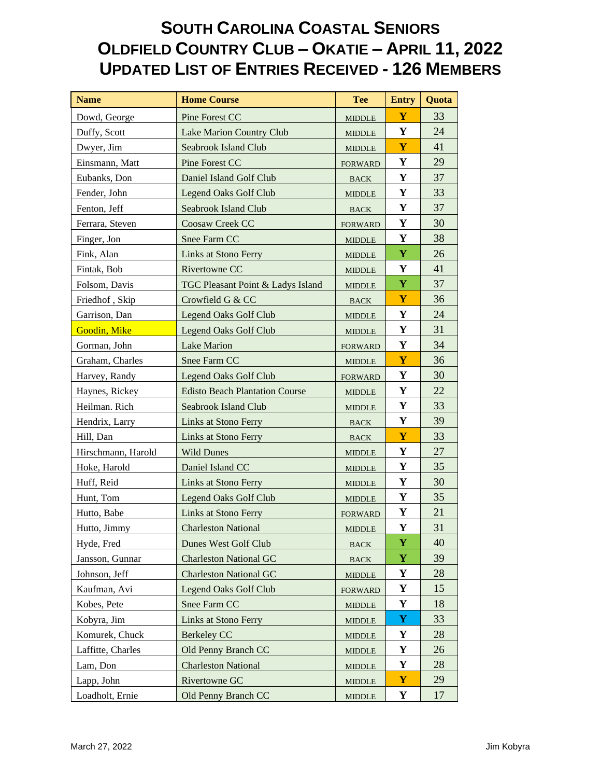| <b>Name</b>        | <b>Home Course</b>                    | <b>Tee</b>     | <b>Entry</b> | Quota |
|--------------------|---------------------------------------|----------------|--------------|-------|
| Dowd, George       | Pine Forest CC                        | <b>MIDDLE</b>  | Y            | 33    |
| Duffy, Scott       | Lake Marion Country Club              | <b>MIDDLE</b>  | $\mathbf Y$  | 24    |
| Dwyer, Jim         | <b>Seabrook Island Club</b>           | <b>MIDDLE</b>  | Y            | 41    |
| Einsmann, Matt     | Pine Forest CC                        | <b>FORWARD</b> | Y            | 29    |
| Eubanks, Don       | Daniel Island Golf Club               | <b>BACK</b>    | Y            | 37    |
| Fender, John       | <b>Legend Oaks Golf Club</b>          | <b>MIDDLE</b>  | Y            | 33    |
| Fenton, Jeff       | Seabrook Island Club                  | <b>BACK</b>    | Y            | 37    |
| Ferrara, Steven    | Coosaw Creek CC                       | <b>FORWARD</b> | Y            | 30    |
| Finger, Jon        | Snee Farm CC                          | <b>MIDDLE</b>  | Y            | 38    |
| Fink, Alan         | Links at Stono Ferry                  | <b>MIDDLE</b>  | Y            | 26    |
| Fintak, Bob        | Rivertowne CC                         | <b>MIDDLE</b>  | Y            | 41    |
| Folsom, Davis      | TGC Pleasant Point & Ladys Island     | <b>MIDDLE</b>  | $\mathbf Y$  | 37    |
| Friedhof, Skip     | Crowfield G & CC                      | <b>BACK</b>    | Y            | 36    |
| Garrison, Dan      | <b>Legend Oaks Golf Club</b>          | <b>MIDDLE</b>  | Y            | 24    |
| Goodin, Mike       | <b>Legend Oaks Golf Club</b>          | <b>MIDDLE</b>  | Y            | 31    |
| Gorman, John       | <b>Lake Marion</b>                    | <b>FORWARD</b> | Y            | 34    |
| Graham, Charles    | Snee Farm CC                          | <b>MIDDLE</b>  | Y            | 36    |
| Harvey, Randy      | <b>Legend Oaks Golf Club</b>          | <b>FORWARD</b> | Y            | 30    |
| Haynes, Rickey     | <b>Edisto Beach Plantation Course</b> | <b>MIDDLE</b>  | Y            | 22    |
| Heilman. Rich      | Seabrook Island Club                  | <b>MIDDLE</b>  | Y            | 33    |
| Hendrix, Larry     | <b>Links at Stono Ferry</b>           | <b>BACK</b>    | Y            | 39    |
| Hill, Dan          | Links at Stono Ferry                  | <b>BACK</b>    | Y            | 33    |
| Hirschmann, Harold | <b>Wild Dunes</b>                     | <b>MIDDLE</b>  | Y            | 27    |
| Hoke, Harold       | Daniel Island CC                      | <b>MIDDLE</b>  | Y            | 35    |
| Huff, Reid         | Links at Stono Ferry                  | <b>MIDDLE</b>  | Y            | 30    |
| Hunt, Tom          | <b>Legend Oaks Golf Club</b>          | <b>MIDDLE</b>  | $\mathbf Y$  | 35    |
| Hutto, Babe        | Links at Stono Ferry                  | <b>FORWARD</b> | Y            | 21    |
| Hutto, Jimmy       | <b>Charleston National</b>            | <b>MIDDLE</b>  | Y            | 31    |
| Hyde, Fred         | Dunes West Golf Club                  | <b>BACK</b>    | Y            | 40    |
| Jansson, Gunnar    | <b>Charleston National GC</b>         | <b>BACK</b>    | $\mathbf Y$  | 39    |
| Johnson, Jeff      | <b>Charleston National GC</b>         | <b>MIDDLE</b>  | Y            | 28    |
| Kaufman, Avi       | <b>Legend Oaks Golf Club</b>          | <b>FORWARD</b> | Y            | 15    |
| Kobes, Pete        | Snee Farm CC                          | <b>MIDDLE</b>  | Y            | 18    |
| Kobyra, Jim        | <b>Links at Stono Ferry</b>           | <b>MIDDLE</b>  | Y            | 33    |
| Komurek, Chuck     | <b>Berkeley CC</b>                    | <b>MIDDLE</b>  | Y            | 28    |
| Laffitte, Charles  | Old Penny Branch CC                   | <b>MIDDLE</b>  | Y            | 26    |
| Lam, Don           | <b>Charleston National</b>            | <b>MIDDLE</b>  | Y            | 28    |
| Lapp, John         | Rivertowne GC                         | <b>MIDDLE</b>  | $\mathbf{Y}$ | 29    |
| Loadholt, Ernie    | Old Penny Branch CC                   | <b>MIDDLE</b>  | Y            | 17    |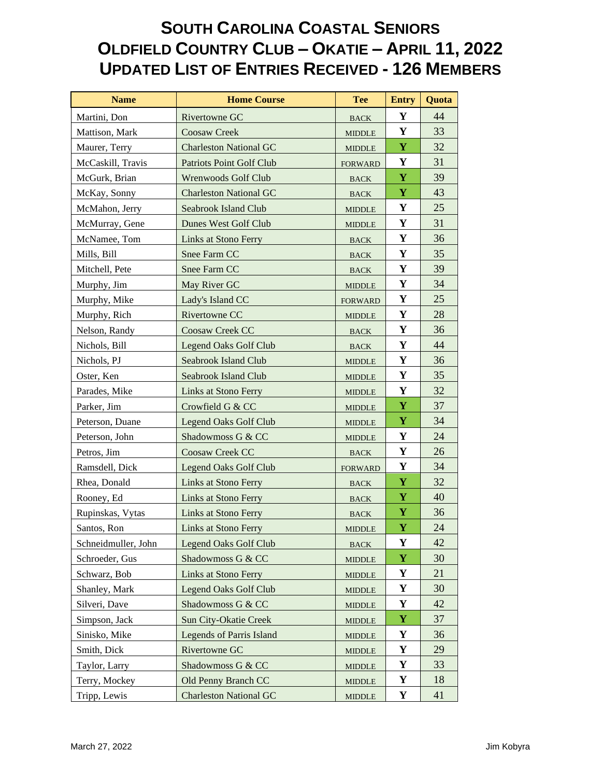| <b>Name</b>         | <b>Home Course</b>              | <b>Tee</b>                     | <b>Entry</b> | Quota |
|---------------------|---------------------------------|--------------------------------|--------------|-------|
| Martini, Don        | Rivertowne GC                   | <b>BACK</b>                    | Y            | 44    |
| Mattison, Mark      | Coosaw Creek                    | <b>MIDDLE</b>                  | Y            | 33    |
| Maurer, Terry       | <b>Charleston National GC</b>   | $\ensuremath{\mathsf{MIDDLE}}$ | $\mathbf Y$  | 32    |
| McCaskill, Travis   | Patriots Point Golf Club        | <b>FORWARD</b>                 | Y            | 31    |
| McGurk, Brian       | Wrenwoods Golf Club             | <b>BACK</b>                    | $\mathbf Y$  | 39    |
| McKay, Sonny        | <b>Charleston National GC</b>   | <b>BACK</b>                    | Y            | 43    |
| McMahon, Jerry      | Seabrook Island Club            | <b>MIDDLE</b>                  | Y            | 25    |
| McMurray, Gene      | Dunes West Golf Club            | <b>MIDDLE</b>                  | Y            | 31    |
| McNamee, Tom        | Links at Stono Ferry            | <b>BACK</b>                    | Y            | 36    |
| Mills, Bill         | Snee Farm CC                    | <b>BACK</b>                    | Y            | 35    |
| Mitchell, Pete      | Snee Farm CC                    | <b>BACK</b>                    | Y            | 39    |
| Murphy, Jim         | May River GC                    | <b>MIDDLE</b>                  | Y            | 34    |
| Murphy, Mike        | Lady's Island CC                | <b>FORWARD</b>                 | Y            | 25    |
| Murphy, Rich        | Rivertowne CC                   | <b>MIDDLE</b>                  | Y            | 28    |
| Nelson, Randy       | Coosaw Creek CC                 | <b>BACK</b>                    | Y            | 36    |
| Nichols, Bill       | <b>Legend Oaks Golf Club</b>    | <b>BACK</b>                    | Y            | 44    |
| Nichols, PJ         | <b>Seabrook Island Club</b>     | <b>MIDDLE</b>                  | $\mathbf Y$  | 36    |
| Oster, Ken          | Seabrook Island Club            | <b>MIDDLE</b>                  | Y            | 35    |
| Parades, Mike       | Links at Stono Ferry            | <b>MIDDLE</b>                  | Y            | 32    |
| Parker, Jim         | Crowfield G & CC                | <b>MIDDLE</b>                  | Y            | 37    |
| Peterson, Duane     | Legend Oaks Golf Club           | <b>MIDDLE</b>                  | Y            | 34    |
| Peterson, John      | Shadowmoss G & CC               | <b>MIDDLE</b>                  | Y            | 24    |
| Petros, Jim         | Coosaw Creek CC                 | <b>BACK</b>                    | Y            | 26    |
| Ramsdell, Dick      | <b>Legend Oaks Golf Club</b>    | <b>FORWARD</b>                 | Y            | 34    |
| Rhea, Donald        | Links at Stono Ferry            | <b>BACK</b>                    | Y            | 32    |
| Rooney, Ed          | Links at Stono Ferry            | <b>BACK</b>                    | Y            | 40    |
| Rupinskas, Vytas    | <b>Links at Stono Ferry</b>     | <b>BACK</b>                    | $\mathbf Y$  | 36    |
| Santos, Ron         | Links at Stono Ferry            | <b>MIDDLE</b>                  | $\mathbf Y$  | 24    |
| Schneidmuller, John | <b>Legend Oaks Golf Club</b>    | $\operatorname{BACK}$          | $\mathbf Y$  | 42    |
| Schroeder, Gus      | Shadowmoss G & CC               | <b>MIDDLE</b>                  | Y            | 30    |
| Schwarz, Bob        | Links at Stono Ferry            | <b>MIDDLE</b>                  | Y            | 21    |
| Shanley, Mark       | <b>Legend Oaks Golf Club</b>    | <b>MIDDLE</b>                  | Y            | 30    |
| Silveri, Dave       | Shadowmoss G & CC               | <b>MIDDLE</b>                  | Y            | 42    |
| Simpson, Jack       | Sun City-Okatie Creek           | <b>MIDDLE</b>                  | $\mathbf Y$  | 37    |
| Sinisko, Mike       | <b>Legends of Parris Island</b> | <b>MIDDLE</b>                  | Y            | 36    |
| Smith, Dick         | Rivertowne GC                   | <b>MIDDLE</b>                  | Y            | 29    |
| Taylor, Larry       | Shadowmoss G & CC               | <b>MIDDLE</b>                  | Y            | 33    |
| Terry, Mockey       | Old Penny Branch CC             | <b>MIDDLE</b>                  | Y            | 18    |
| Tripp, Lewis        | <b>Charleston National GC</b>   | <b>MIDDLE</b>                  | Y            | 41    |